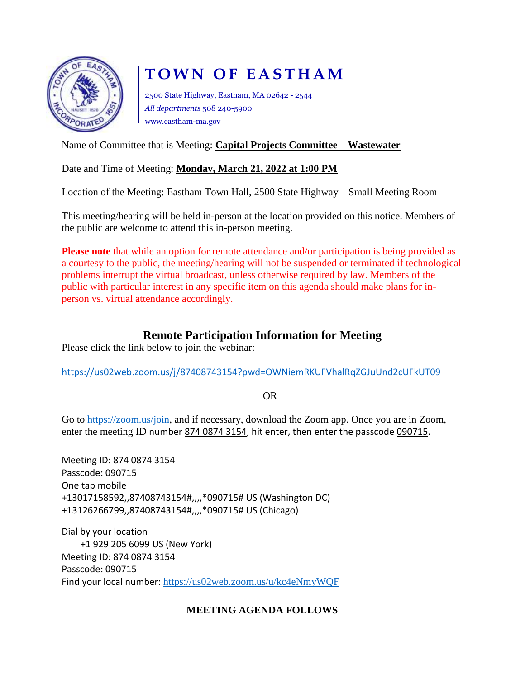

# **TOWN OF EASTHAM**

2500 State Highway, Eastham, MA 02642 - 2544 *All departments* 508 240-5900 www.eastham-ma.gov

## Name of Committee that is Meeting: **Capital Projects Committee – Wastewater**

## Date and Time of Meeting: **Monday, March 21, 2022 at 1:00 PM**

Location of the Meeting: Eastham Town Hall, 2500 State Highway – Small Meeting Room

This meeting/hearing will be held in-person at the location provided on this notice. Members of the public are welcome to attend this in-person meeting.

**Please note** that while an option for remote attendance and/or participation is being provided as a courtesy to the public, the meeting/hearing will not be suspended or terminated if technological problems interrupt the virtual broadcast, unless otherwise required by law. Members of the public with particular interest in any specific item on this agenda should make plans for inperson vs. virtual attendance accordingly.

## **Remote Participation Information for Meeting**

Please click the link below to join the webinar:

<https://us02web.zoom.us/j/87408743154?pwd=OWNiemRKUFVhalRqZGJuUnd2cUFkUT09>

OR

Go to [https://zoom.us/join,](https://zoom.us/join) and if necessary, download the Zoom app. Once you are in Zoom, enter the meeting ID number 874 0874 3154, hit enter, then enter the passcode 090715.

Meeting ID: 874 0874 3154 Passcode: 090715 One tap mobile +13017158592,,87408743154#,,,,\*090715# US (Washington DC) +13126266799,,87408743154#,,,,\*090715# US (Chicago)

Dial by your location +1 929 205 6099 US (New York) Meeting ID: 874 0874 3154 Passcode: 090715 Find your local number: <https://us02web.zoom.us/u/kc4eNmyWQF>

### **MEETING AGENDA FOLLOWS**